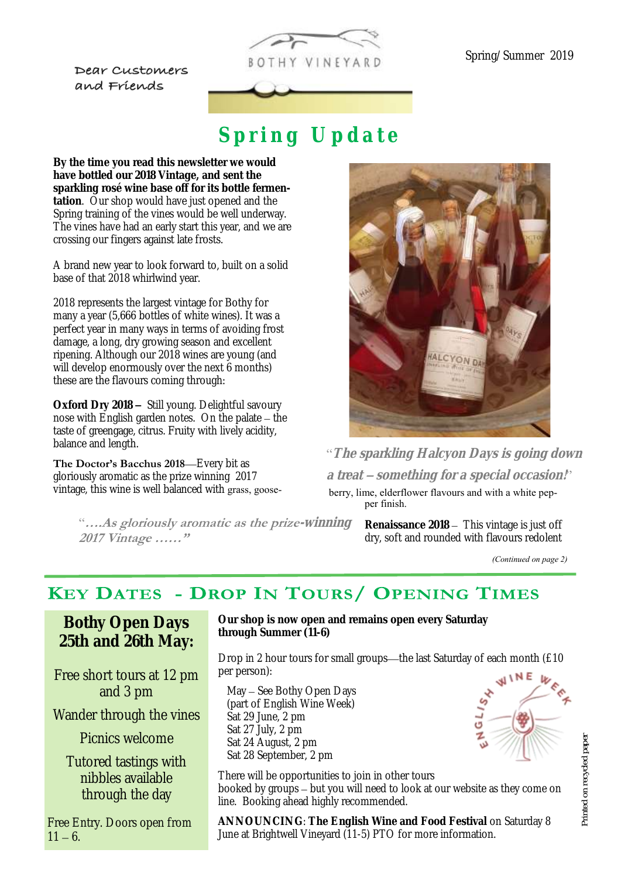Dear Customers and Friends



# Spring Update

**By the time you read this newsletter we would have bottled our 2018 Vintage, and sent the sparkling rosé wine base off for its bottle fermentation**. Our shop would have just opened and the Spring training of the vines would be well underway. The vines have had an early start this year, and we are crossing our fingers against late frosts.

A brand new year to look forward to, built on a solid base of that 2018 whirlwind year.

2018 represents the largest vintage for Bothy for many a year (5,666 bottles of white wines). It was a perfect year in many ways in terms of avoiding frost damage, a long, dry growing season and excellent ripening. Although our 2018 wines are young (and will develop enormously over the next 6 months) these are the flavours coming through:

**Oxford Dry 2018 –** Still young. Delightful savoury nose with English garden notes. On the palate – the taste of greengage, citrus. Fruity with lively acidity, balance and length.

**The Doctor's Bacchus 2018**—Every bit as gloriously aromatic as the prize winning 2017 vintage, this wine is well balanced with grass, goose-

> "**….As gloriously aromatic as the prize-winning 2017 Vintage ……"**



"**The sparkling Halcyon Days is going down a treat – something for a special occasion!**"

berry, lime, elderflower flavours and with a white pepper finish.

> **Renaissance 2018** – This vintage is just off dry, soft and rounded with flavours redolent

> > GLI.

*(Continued on page 2)*

#### **KEY DATES - DROP IN TOURS/ OPENING TIMES**

**Bothy Open Days 25th and 26th May:** 

Free short tours at 12 pm and 3 pm

Wander through the vines

Picnics welcome

Tutored tastings with nibbles available through the day

Free Entry. Doors open from  $11 - 6.$ 

**Our shop is now open and remains open every Saturday through Summer (11-6)**

Drop in 2 hour tours for small groups—the last Saturday of each month (£10 per person):

May – See Bothy Open Days (part of English Wine Week) Sat 29 June, 2 pm Sat 27 July, 2 pm Sat 24 August, 2 pm Sat 28 September, 2 pm

There will be opportunities to join in other tours booked by groups – but you will need to look at our website as they come on line. Booking ahead highly recommended.

ANNOUNCING: The English Wine and Food Festival on Saturday 8 June at Brightwell Vineyard (11-5) PTO for more information.